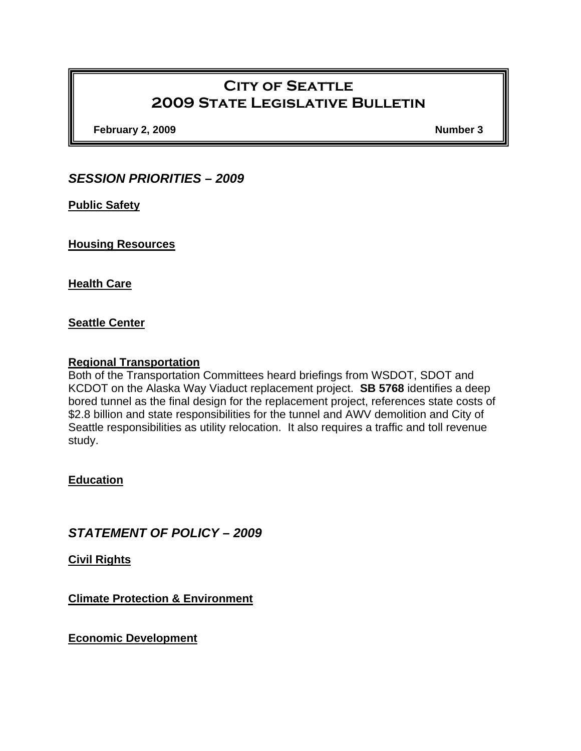# **City of Seattle 2009 State Legislative Bulletin**

**February 2, 2009** Number 3

# *SESSION PRIORITIES – 2009*

**Public Safety**

**Housing Resources**

**Health Care**

#### **Seattle Center**

#### **Regional Transportation**

Both of the Transportation Committees heard briefings from WSDOT, SDOT and KCDOT on the Alaska Way Viaduct replacement project. **SB 5768** identifies a deep bored tunnel as the final design for the replacement project, references state costs of \$2.8 billion and state responsibilities for the tunnel and AWV demolition and City of Seattle responsibilities as utility relocation. It also requires a traffic and toll revenue study.

## **Education**

# *STATEMENT OF POLICY – 2009*

**Civil Rights**

**Climate Protection & Environment**

**Economic Development**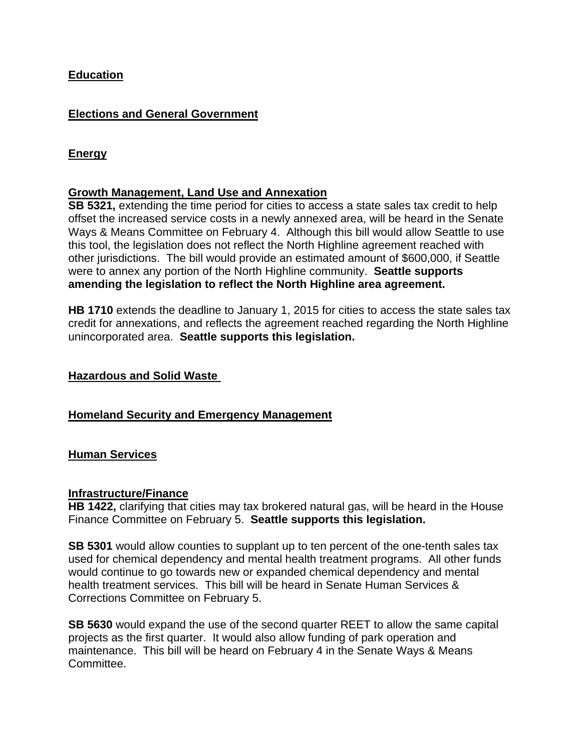## **Education**

## **Elections and General Government**

# **Energy**

## **Growth Management, Land Use and Annexation**

**SB 5321,** extending the time period for cities to access a state sales tax credit to help offset the increased service costs in a newly annexed area, will be heard in the Senate Ways & Means Committee on February 4. Although this bill would allow Seattle to use this tool, the legislation does not reflect the North Highline agreement reached with other jurisdictions. The bill would provide an estimated amount of \$600,000, if Seattle were to annex any portion of the North Highline community. **Seattle supports amending the legislation to reflect the North Highline area agreement.** 

**HB 1710** extends the deadline to January 1, 2015 for cities to access the state sales tax credit for annexations, and reflects the agreement reached regarding the North Highline unincorporated area. **Seattle supports this legislation.**

#### **Hazardous and Solid Waste**

## **Homeland Security and Emergency Management**

#### **Human Services**

#### **Infrastructure/Finance**

**HB 1422,** clarifying that cities may tax brokered natural gas, will be heard in the House Finance Committee on February 5. **Seattle supports this legislation.**

**SB 5301** would allow counties to supplant up to ten percent of the one-tenth sales tax used for chemical dependency and mental health treatment programs. All other funds would continue to go towards new or expanded chemical dependency and mental health treatment services. This bill will be heard in Senate Human Services & Corrections Committee on February 5.

**SB 5630** would expand the use of the second quarter REET to allow the same capital projects as the first quarter. It would also allow funding of park operation and maintenance. This bill will be heard on February 4 in the Senate Ways & Means Committee.